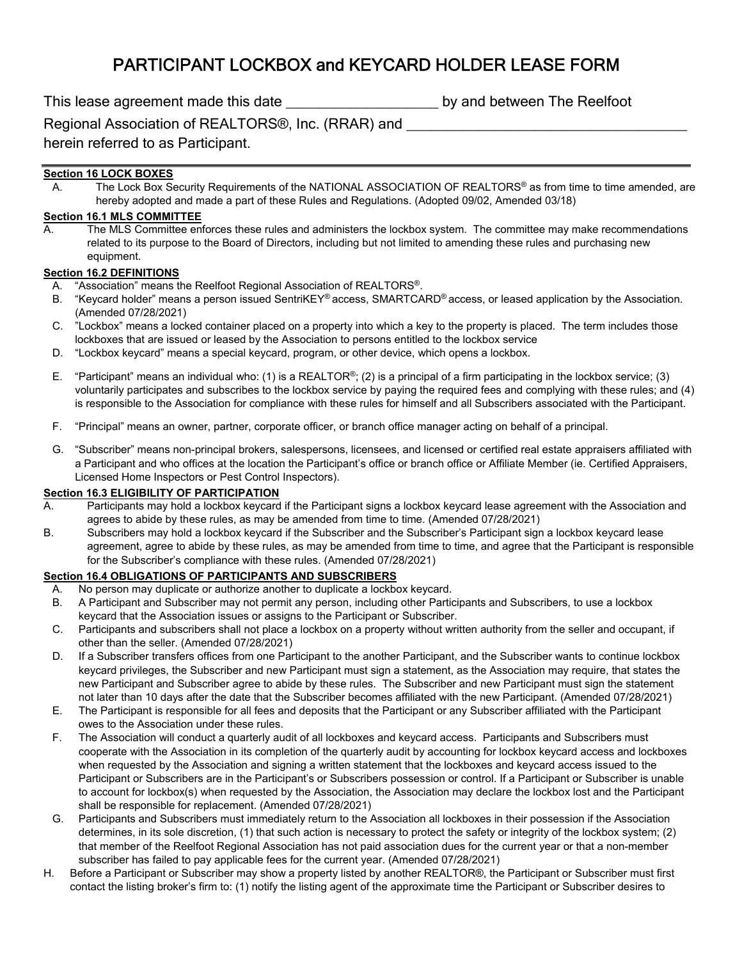# PARTICIPANT LOCKBOX and KEYCARD HOLDER LEASE FORM

This lease agreement made this date **the set of the Secure 20** by and between The Reelfoot

Regional Association of REALTORS®, Inc. (RRAR) and

herein referred to as Participant.

# **Section 16 LOCK BOXES**

A. The Lock Box Security Requirements of the NATIONAL ASSOCIATION OF REALTORS® as from time to time amended, are hereby adopted and made a part of these Rules and Regulations. (Adopted 09/02, Amended 03/18)

# **Section 16.1 MLS COMMITTEE**

A. The MLS Committee enforces these rules and administers the lockbox system. The committee may make recommendations related to its purpose to the Board of Directors, including but not limited to amending these rules and purchasing new equipment.

## **Section 16.2 DEFINITIONS**

- A. "Association" means the Reelfoot Regional Association of REALTORS®.
- B. "Keycard holder" means a person issued SentriKEY® access, SMARTCARD® access, or leased application by the Association. (Amended 07/28/2021)
- C. "Lockbox" means a locked container placed on a property into which a key to the property is placed. The term includes those lockboxes that are issued or leased by the Association to persons entitled to the lockbox service
- D. "Lockbox keycard" means a special keycard, program, or other device, which opens a lockbox.
- E. "Participant" means an individual who: (1) is a REALTOR<sup>®</sup>; (2) is a principal of a firm participating in the lockbox service; (3) voluntarily participates and subscribes to the lockbox service by paying the required fees and complying with these rules; and (4) is responsible to the Association for compliance with these rules for himself and all Subscribers associated with the Participant.
- F. "Principal" means an owner, partner, corporate officer, or branch office manager acting on behalf of a principal.
- G. "Subscriber" means non-principal brokers, salespersons, licensees, and licensed or certified real estate appraisers affiliated with a Participant and who offices at the location the Participant's office or branch office or Affiliate Member (ie. Certified Appraisers, Licensed Home Inspectors or Pest Control Inspectors).

#### **Section 16.3 ELIGIBILITY OF PARTICIPATION**

- A. Participants may hold a lockbox keycard if the Participant signs a lockbox keycard lease agreement with the Association and agrees to abide by these rules, as may be amended from time to time. (Amended 07/28/2021)
- B. Subscribers may hold a lockbox keycard if the Subscriber and the Subscriber's Participant sign a lockbox keycard lease agreement, agree to abide by these rules, as may be amended from time to time, and agree that the Participant is responsible for the Subscriber's compliance with these rules. (Amended 07/28/2021)

## **Section 16.4 OBLIGATIONS OF PARTICIPANTS AND SUBSCRIBERS**

- A. No person may duplicate or authorize another to duplicate a lockbox keycard.
- B. A Participant and Subscriber may not permit any person, including other Participants and Subscribers, to use a lockbox keycard that the Association issues or assigns to the Participant or Subscriber.
- C. Participants and subscribers shall not place a lockbox on a property without written authority from the seller and occupant, if other than the seller. (Amended 07/28/2021)
- D. If a Subscriber transfers offices from one Participant to the another Participant, and the Subscriber wants to continue lockbox keycard privileges, the Subscriber and new Participant must sign a statement, as the Association may require, that states the new Participant and Subscriber agree to abide by these rules. The Subscriber and new Participant must sign the statement not later than 10 days after the date that the Subscriber becomes affiliated with the new Participant. (Amended 07/28/2021)
- E. The Participant is responsible for all fees and deposits that the Participant or any Subscriber affiliated with the Participant owes to the Association under these rules.
- F. The Association will conduct a quarterly audit of all lockboxes and keycard access. Participants and Subscribers must cooperate with the Association in its completion of the quarterly audit by accounting for lockbox keycard access and lockboxes when requested by the Association and signing a written statement that the lockboxes and keycard access issued to the Participant or Subscribers are in the Participant's or Subscribers possession or control. If a Participant or Subscriber is unable to account for lockbox(s) when requested by the Association, the Association may declare the lockbox lost and the Participant shall be responsible for replacement. (Amended 07/28/2021)
- G. Participants and Subscribers must immediately return to the Association all lockboxes in their possession if the Association determines, in its sole discretion, (1) that such action is necessary to protect the safety or integrity of the lockbox system; (2) that member of the Reelfoot Regional Association has not paid association dues for the current year or that a non-member subscriber has failed to pay applicable fees for the current year. (Amended 07/28/2021)
- H. Before a Participant or Subscriber may show a property listed by another REALTOR®, the Participant or Subscriber must first contact the listing broker's firm to: (1) notify the listing agent of the approximate time the Participant or Subscriber desires to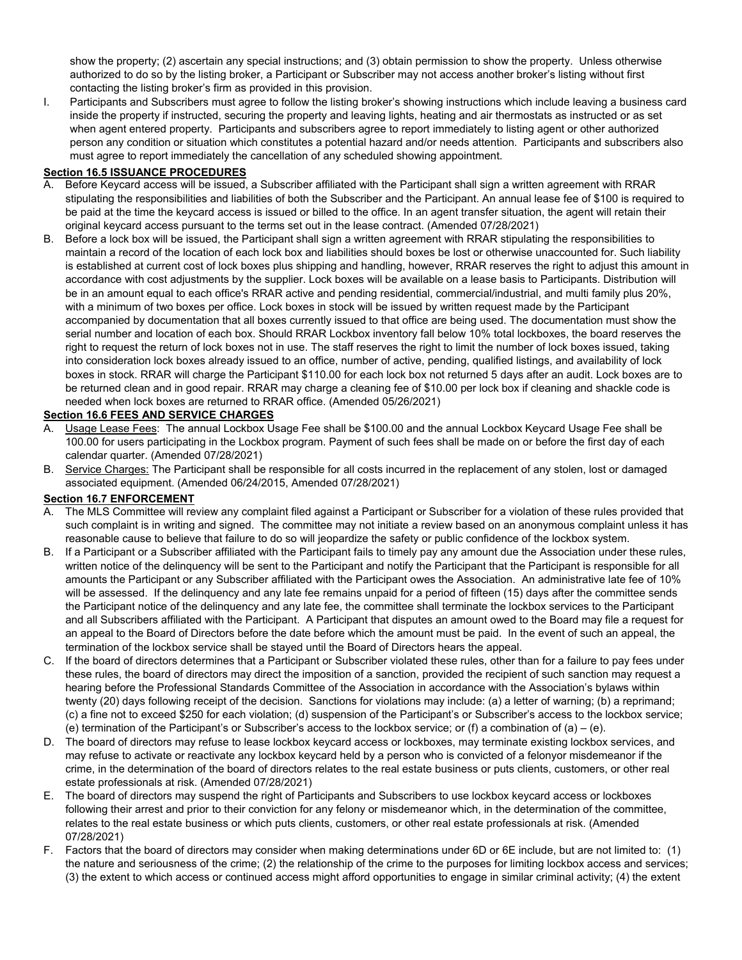show the property; (2) ascertain any special instructions; and (3) obtain permission to show the property. Unless otherwise authorized to do so by the listing broker, a Participant or Subscriber may not access another broker's listing without first contacting the listing broker's firm as provided in this provision.

I. Participants and Subscribers must agree to follow the listing broker's showing instructions which include leaving a business card inside the property if instructed, securing the property and leaving lights, heating and air thermostats as instructed or as set when agent entered property. Participants and subscribers agree to report immediately to listing agent or other authorized person any condition or situation which constitutes a potential hazard and/or needs attention. Participants and subscribers also must agree to report immediately the cancellation of any scheduled showing appointment.

#### **Section 16.5 ISSUANCE PROCEDURES**

- A. Before Keycard access will be issued, a Subscriber affiliated with the Participant shall sign a written agreement with RRAR stipulating the responsibilities and liabilities of both the Subscriber and the Participant. An annual lease fee of \$100 is required to be paid at the time the keycard access is issued or billed to the office. In an agent transfer situation, the agent will retain their original keycard access pursuant to the terms set out in the lease contract. (Amended 07/28/2021)
- B. Before a lock box will be issued, the Participant shall sign a written agreement with RRAR stipulating the responsibilities to maintain a record of the location of each lock box and liabilities should boxes be lost or otherwise unaccounted for. Such liability is established at current cost of lock boxes plus shipping and handling, however, RRAR reserves the right to adjust this amount in accordance with cost adjustments by the supplier. Lock boxes will be available on a lease basis to Participants. Distribution will be in an amount equal to each office's RRAR active and pending residential, commercial/industrial, and multi family plus 20%, with a minimum of two boxes per office. Lock boxes in stock will be issued by written request made by the Participant accompanied by documentation that all boxes currently issued to that office are being used. The documentation must show the serial number and location of each box. Should RRAR Lockbox inventory fall below 10% total lockboxes, the board reserves the right to request the return of lock boxes not in use. The staff reserves the right to limit the number of lock boxes issued, taking into consideration lock boxes already issued to an office, number of active, pending, qualified listings, and availability of lock boxes in stock. RRAR will charge the Participant \$110.00 for each lock box not returned 5 days after an audit. Lock boxes are to be returned clean and in good repair. RRAR may charge a cleaning fee of \$10.00 per lock box if cleaning and shackle code is needed when lock boxes are returned to RRAR office. (Amended 05/26/2021)

## **Section 16.6 FEES AND SERVICE CHARGES**

- A. Usage Lease Fees: The annual Lockbox Usage Fee shall be \$100.00 and the annual Lockbox Keycard Usage Fee shall be 100.00 for users participating in the Lockbox program. Payment of such fees shall be made on or before the first day of each calendar quarter. (Amended 07/28/2021)
- B. Service Charges: The Participant shall be responsible for all costs incurred in the replacement of any stolen, lost or damaged associated equipment. (Amended 06/24/2015, Amended 07/28/2021)

## **Section 16.7 ENFORCEMENT**

- A. The MLS Committee will review any complaint filed against a Participant or Subscriber for a violation of these rules provided that such complaint is in writing and signed. The committee may not initiate a review based on an anonymous complaint unless it has reasonable cause to believe that failure to do so will jeopardize the safety or public confidence of the lockbox system.
- B. If a Participant or a Subscriber affiliated with the Participant fails to timely pay any amount due the Association under these rules, written notice of the delinquency will be sent to the Participant and notify the Participant that the Participant is responsible for all amounts the Participant or any Subscriber affiliated with the Participant owes the Association. An administrative late fee of 10% will be assessed. If the delinquency and any late fee remains unpaid for a period of fifteen (15) days after the committee sends the Participant notice of the delinquency and any late fee, the committee shall terminate the lockbox services to the Participant and all Subscribers affiliated with the Participant. A Participant that disputes an amount owed to the Board may file a request for an appeal to the Board of Directors before the date before which the amount must be paid. In the event of such an appeal, the termination of the lockbox service shall be stayed until the Board of Directors hears the appeal.
- C. If the board of directors determines that a Participant or Subscriber violated these rules, other than for a failure to pay fees under these rules, the board of directors may direct the imposition of a sanction, provided the recipient of such sanction may request a hearing before the Professional Standards Committee of the Association in accordance with the Association's bylaws within twenty (20) days following receipt of the decision. Sanctions for violations may include: (a) a letter of warning; (b) a reprimand; (c) a fine not to exceed \$250 for each violation; (d) suspension of the Participant's or Subscriber's access to the lockbox service; (e) termination of the Participant's or Subscriber's access to the lockbox service; or (f) a combination of  $(a) - (e)$ .
- D. The board of directors may refuse to lease lockbox keycard access or lockboxes, may terminate existing lockbox services, and may refuse to activate or reactivate any lockbox keycard held by a person who is convicted of a felonyor misdemeanor if the crime, in the determination of the board of directors relates to the real estate business or puts clients, customers, or other real estate professionals at risk. (Amended 07/28/2021)
- E. The board of directors may suspend the right of Participants and Subscribers to use lockbox keycard access or lockboxes following their arrest and prior to their conviction for any felony or misdemeanor which, in the determination of the committee, relates to the real estate business or which puts clients, customers, or other real estate professionals at risk. (Amended 07/28/2021)
- F. Factors that the board of directors may consider when making determinations under 6D or 6E include, but are not limited to: (1) the nature and seriousness of the crime; (2) the relationship of the crime to the purposes for limiting lockbox access and services; (3) the extent to which access or continued access might afford opportunities to engage in similar criminal activity; (4) the extent